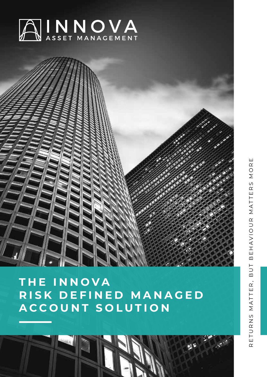



# **THE INNOVA R I S K D E F I N E D M A N A G E D ACCOUNT SOLUTION**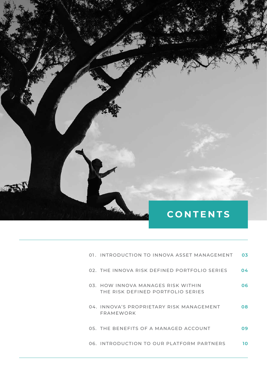# **CONTENTS**

| 01. INTRODUCTION TO INNOVA ASSET MANAGEMENT                             | 03  |
|-------------------------------------------------------------------------|-----|
| 02. THE INNOVA RISK DEFINED PORTFOLIO SERIES                            | 04  |
| 03. HOW INNOVA MANAGES RISK WITHIN<br>THE RISK DEFINED PORTFOLIO SERIES | 06  |
| 04. INNOVA'S PROPRIETARY RISK MANAGEMENT<br>FRAMEWORK                   | 08  |
| 05. THE BENEFITS OF A MANAGED ACCOUNT                                   | 09. |
| 06. INTRODUCTION TO OUR PLATFORM PARTNERS                               | າດ  |

**2** RISK DEFINED MANAGED ACCOUNT SOLUTION INNOVA

Sey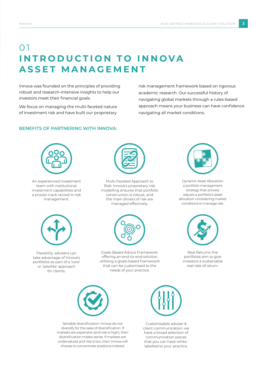## $\Omega$ **INTRODUCTION TO INNOVA ASSET MANAGEMENT**

Innova was founded on the principles of providing robust and research-intensive insights to help our investors meet their financial goals.

We focus on managing the multi-faceted nature of investment risk and have built our proprietary

risk management framework based on rigorous academic research. Our successful history of navigating global markets through a rules-based approach means your business can have confidence navigating all market conditions.

### **BENEFITS OF PARTNERING WITH INNOVA:**



An experienced investment team with institutional investment capabilities and a proven track record in risk management.

Flexibility: advisers can take advantage of Innova's portfolios as part of a 'core' or 'satellite' approach for clients.



Multi-Faceted Approach to Risk: Innova's proprietary risk modelling ensures that portfolio construction is robust, and the main drivers of risk are managed effectively.



Goals-Based Advice Framework: offering an end-to-end solution utilising a goals-based framework that can be customised to the needs of your practice.



Dynamic Asset Allocation: a portfolio management strategy that actively adjusts a portfolio's asset allocation considering market conditions to manage risk.



Real Returns: the portfolios aim to give investors a sustainable real rate of return.



Sensible diversification: Innova do not diversify for the sake of diversification. If markets are expensive (and risk is high), then diversification makes sense. If markets are undervalued and risk is low, then Innova will choose to concentrate positions instead.



Customisable adviser & client communication: we have a broad selection of communication pieces that you can have whitelabelled to your practice.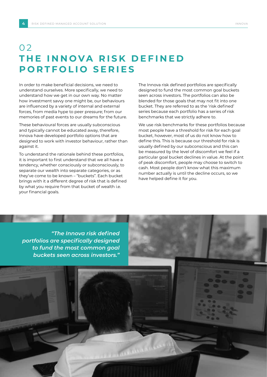### 0 2 **THE INNOVA RISK DEFINED PORTFOLIO SERIES**

In order to make beneficial decisions, we need to understand ourselves. More specifically, we need to understand how we get in our own way. No matter how investment savvy one might be, our behaviours are influenced by a variety of internal and external forces, from media hype to peer pressure; from our memories of past events to our dreams for the future.

These behavioural forces are usually subconscious and typically cannot be educated away, therefore, Innova have developed portfolio options that are designed to work with investor behaviour, rather than against it.

To understand the rationale behind these portfolios, it is important to first understand that we all have a tendency, whether consciously or subconsciously, to separate our wealth into separate categories, or as they've come to be known – "buckets". Each bucket brings with it a different degree of risk that is defined by what you require from that bucket of wealth i.e. your financial goals.

The Innova risk defined portfolios are specifically designed to fund the most common goal buckets seen across investors. The portfolios can also be blended for those goals that may not fit into one bucket. They are referred to as the 'risk defined' series because each portfolio has a series of risk benchmarks that we strictly adhere to.

We use risk benchmarks for these portfolios because most people have a threshold for risk for each goal bucket, however, most of us do not know how to define this. This is because our threshold for risk is usually defined by our subconscious and this can be measured by the level of discomfort we feel if a particular goal bucket declines in value. At the point of peak discomfort, people may choose to switch to cash. Most people don't know what this maximum number actually is until the decline occurs, so we have helped define it for you.

*"The Innova risk defined portfolios are specifically designed to fund the most common goal buckets seen across investors."*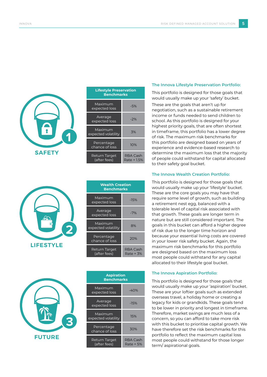



| <u> Life</u> style Preservation<br><b>Benchmarks</b> |                         |  |  |
|------------------------------------------------------|-------------------------|--|--|
| Maximum<br>expected loss                             | $-5%$                   |  |  |
| Average<br>expected loss                             | $-2%$                   |  |  |
| Maximum<br>expected volatility                       | 3%                      |  |  |
| Percentage<br>chance of loss                         | 10%                     |  |  |
| Return Target<br>(after fees)                        | RBA Cash<br>Rate + 1.5% |  |  |

| <b>Wealth Creation</b><br><b>Benchmarks</b> |                       |  |
|---------------------------------------------|-----------------------|--|
| Maximum<br>expected loss                    | $-15%$                |  |
| Average<br>expected loss                    | $-7%$                 |  |
| Maximum<br>expected volatility              | 8%                    |  |
| Percentage<br>chance of loss                | 20%                   |  |
| Return Target<br>(after fees)               | RBA Cash<br>Rate + 3% |  |



| <b>Aspiration</b><br><b>Benchmarks</b> |                       |  |  |
|----------------------------------------|-----------------------|--|--|
| Maximum<br>expected loss               | $-40%$                |  |  |
| Average<br>expected loss               | $-15%$                |  |  |
| Maximum<br>expected volatility         | 15%                   |  |  |
| Percentage<br>chance of loss           | 30%                   |  |  |
| Return Target<br>(after fees)          | RBA Cash<br>Rate + 5% |  |  |

#### **The Innova Lifestyle Preservation Portfolio:**

This portfolio is designed for those goals that would usually make up your 'safety' bucket.

These are the goals that aren't up for negotiation, such as a sustainable retirement income or funds needed to send children to school. As this portfolio is designed for your highest priority goals, that are often shortest in timeframe, this portfolio has a lower degree of risk. The maximum risk benchmarks for this portfolio are designed based on years of experience and evidence-based research to determine the maximum loss that the majority of people could withstand for capital allocated to their safety goal bucket.

#### **The Innova Wealth Creation Portfolio:**

This portfolio is designed for those goals that would usually make up your 'lifestyle' bucket. These are the core goals you may have that require some level of growth, such as building a retirement nest egg, balanced with a tolerable level of capital risk associated with that growth. These goals are longer term in nature but are still considered important. The goals in this bucket can afford a higher degree of risk due to the longer time horizon and because your essential living costs are covered in your lower risk safety bucket. Again, the maximum risk benchmarks for this portfolio are designed based on the maximum loss most people could withstand for any capital allocated to their lifestyle goal bucket.

#### **The Innova Aspiration Portfolio:**

This portfolio is designed for those goals that would usually make up your 'aspiration' bucket. These are your loftier goals such as extended overseas travel, a holiday home or creating a legacy for kids or grandkids. These goals tend to be lower in priority and longest in timeframe. Therefore, market swings are much less of a concern, so you can afford to take more risk with this bucket to prioritise capital growth. We have therefore set the risk benchmarks for this portfolio to reflect the maximum capital loss most people could withstand for those longer term/ aspirational goals.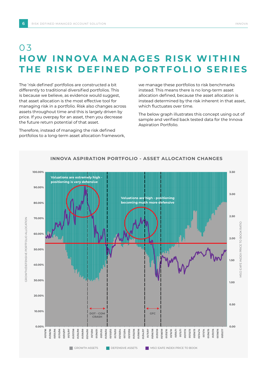### 0 3 **HOW INNOVA MANAGES RISK WITHIN THE RISK DEFINED PORTFOLIO SERIES**

The 'risk defined' portfolios are constructed a bit differently to traditional diversified portfolios. This is because we believe, as evidence would suggest, that asset allocation is the most effective tool for managing risk in a portfolio. Risk also changes across assets throughout time and this is largely driven by price. If you overpay for an asset, then you decrease the future return potential of that asset.

Therefore, instead of managing the risk defined portfolios to a long-term asset allocation framework, we manage these portfolios to risk benchmarks instead. This means there is no long-term asset allocation defined, because the asset allocation is instead determined by the risk inherent in that asset, which fluctuates over time.

The below graph illustrates this concept using out of sample and verified back tested data for the Innova Aspiration Portfolio.

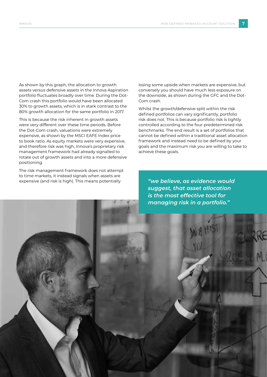As shown by this graph, the allocation to growth assets versus defensive assets in the Innova Aspiration portfolio fluctuates broadly over time. During the Dot-Com crash this portfolio would have been allocated 30% to growth assets, which is in stark contrast to the 80% growth allocation for the same portfolio in 2017.

This is because the risk inherent in growth assets were very different over these time periods. Before the Dot-Com crash, valuations were extremely expensive, as shown by the MSCI EAFE Index price to book ratio. As equity markets were very expensive, and therefore risk was high, Innova's proprietary risk management framework had already signalled to rotate out of growth assets and into a more defensive positioning.

The risk management framework does not attempt to time markets, it instead signals when assets are expensive (and risk is high). This means potentially

losing some upside when markets are expensive, but conversely you should have much less exposure on the downside, as shown during the GFC and the Dot-Com crash.

Whilst the growth/defensive split within the risk defined portfolios can vary significantly, portfolio risk does not. This is because portfolio risk is tightly controlled according to the four predetermined risk benchmarks. The end result is a set of portfolios that cannot be defined within a traditional asset allocation framework and instead need to be defined by your goals and the maximum risk you are willing to take to achieve these goals.

*"we believe, as evidence would suggest, that asset allocation is the most effective tool for managing risk in a portfolio."*

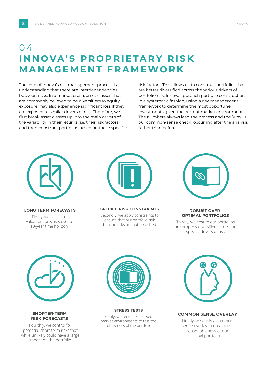### 04 **INNOVA'S PROPRIETARY RISK MANAGEMENT FRAMEWORK**

The core of Innova's risk management process is understanding that there are interdependencies between risks. In a market crash, asset classes that are commonly believed to be diversifiers to equity exposure may also experience significant loss if they are exposed to similar drivers of risk. Therefore, we first break asset classes up into the main drivers of the variability in their returns (i.e. their risk factors) and then construct portfolios based on these specific

investments given the current market environment. The numbers always lead the process and the Why 1s<br>our common-sense check, occurring after the analysis **PROCESS** framework to determine the most opportune investments given the current market environment.<br>The numbers always lead the process and the 'why' is risk factors. This allows us to construct portfolios that are better diversified across the various drivers of portfolio risk. Innova approach portfolio construction in a systematic fashion, using a risk management rather than before.



**LONG TERM FORECASTS LONG TERM FORECASTS**

Firstly, we calculate valuation forecasts over a 10-year time horizon



**SPECIFC RISK CONSTRAINTS** 

Secondly, we apply constraints to ensure that our portfolio risk benchmarks are not breached



**ROBUST OVER ROBUST OVER OPTIMAL PORTFOLIOS OPTIMAL PORTFOLIOS ROBUST OVER ROBUST OVER** 

Thirdly, we ensure our portfolios are properly diversified across the specific drivers of risk



**SHORTER TERM SHORTER-TERM RISK FORECASTS RISK FORECASTS RISK FORECASTS** 

Fourthly, we control for potential short-term risks that potential short terminists that<br>while unlikely could have a large impact on the portfolio



STRESS TESTS Fifthly, we recreate stressed market environments to test the portfolio robustness of the portfolio



**COMMON SENSE OVERLAY** 

Finally, we apply a common sense overlay to ensure the reasonableness of our final portfolio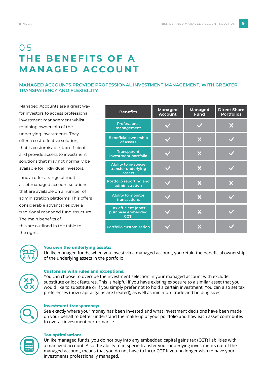# 0 5 **THE BENEFITS OF A MANAGED ACCOUNT**

### **MANAGED ACCOUNTS PROVIDE PROFESSIONAL INVESTMENT MANAGEMENT, WITH GREATER TRANSPARENCY AND FLEXIBILITY**

Managed Accounts are a great way for investors to access professional investment management whilst retaining ownership of the underlying investments. They offer a cost-effective solution, that is customisable, tax efficient and provide access to investment solutions that may not normally be available for individual investors.

Innova offer a range of multiasset managed account solutions that are available on a number of administration platforms. This offers considerable advantages over a traditional managed fund structure. The main benefits of this are outlined in the table to the right:

| <b>Benefits</b>                                              | <b>Managed</b><br><b>Account</b> | <b>Managed</b><br><b>Fund</b> | <b>Direct Share</b><br><b>Portfolios</b> |
|--------------------------------------------------------------|----------------------------------|-------------------------------|------------------------------------------|
| <b>Professional</b><br>management                            |                                  |                               |                                          |
| <b>Beneficial ownership</b><br>of assets                     |                                  |                               |                                          |
| <b>Transparent</b><br>investment portfolio                   |                                  |                               |                                          |
| <b>Ability to in-specie</b><br>transfer underlying<br>assets |                                  | М                             |                                          |
| Portfolio reporting and<br>administration                    |                                  | X                             | ж                                        |
| <b>Ability to monitor</b><br>transactions                    |                                  | X                             |                                          |
| Tax efficient (don't<br>purchase embedded<br>CGT)            |                                  |                               |                                          |
| <b>Portfolio customisation</b>                               |                                  |                               |                                          |



#### **You own the underlying assets:**

Unlike managed funds, when you invest via a managed account, you retain the beneficial ownership of the underlying assets in the portfolio.



#### **Customise with rules and exceptions:**

You can choose to override the investment selection in your managed account with exclude, substitute or lock features. This is helpful if you have existing exposure to a similar asset that you would like to substitute or if you simply prefer not to hold a certain investment. You can also set tax preferences (how capital gains are treated), as well as minimum trade and holding sizes.



#### **Investment transparency:**

See exactly where your money has been invested and what investment decisions have been made on your behalf to better understand the make-up of your portfolio and how each asset contributes to overall investment performance.



#### **Tax optimisation:**

Unlike managed funds, you do not buy into any embedded capital gains tax (CGT) liabilities with a managed account. Also the ability to in-specie transfer your underlying investments out of the managed account, means that you do not have to incur CGT if you no longer wish to have your investments professionally managed.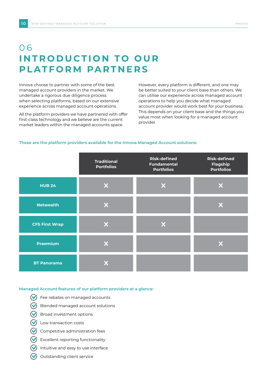## 0 6 **INTRODUCTION TO OUR PLATFORM PARTNERS**

Innova choose to partner with some of the best managed account providers in the market. We undertake a rigorous due diligence process when selecting platforms, based on our extensive experience across managed account operations.

All the platform providers we have partnered with offer first-class technology and we believe are the current market leaders within the managed accounts space.

However, every platform is different, and one may be better suited to your client base than others. We can utilise our experience across managed account operations to help you decide what managed account provider would work best for your business. This depends on your client base and the things you value most when looking for a managed account provider.

#### **These are the platform providers available for the Innova Managed Account solutions:**

|                       | <b>Traditional</b><br><b>Portfolios</b> | <b>Risk-defined</b><br><b>Fundamental</b><br><b>Portfolios</b> | <b>Risk-defined</b><br><b>Flagship</b><br><b>Portfolios</b> |
|-----------------------|-----------------------------------------|----------------------------------------------------------------|-------------------------------------------------------------|
| <b>HUB 24</b>         | X                                       |                                                                | X                                                           |
| <b>Netwealth</b>      | X                                       |                                                                | X                                                           |
| <b>CFS First Wrap</b> | X                                       |                                                                |                                                             |
| <b>Praemium</b>       | X                                       |                                                                | X                                                           |
| <b>BT Panorama</b>    |                                         |                                                                |                                                             |

#### **Managed Account features of our platform providers at a glance:**

- $\bigcirc$  Fee rebates on managed accounts
- $\bigvee$  Blended managed account solutions
- Broad investment options
- **V** Low transaction costs
- $\bigvee$  Competitive administration fees
- Excellent reporting functionality
- Intuitive and easy to use interface
- Outstanding client service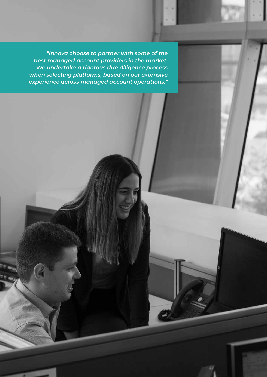*"Innova choose to partner with some of the best managed account providers in the market. We undertake a rigorous due diligence process when selecting platforms, based on our extensive experience across managed account operations."*

INNOVA RISK DEFINED MANAGED ACCOUNT SOLUTION **11**